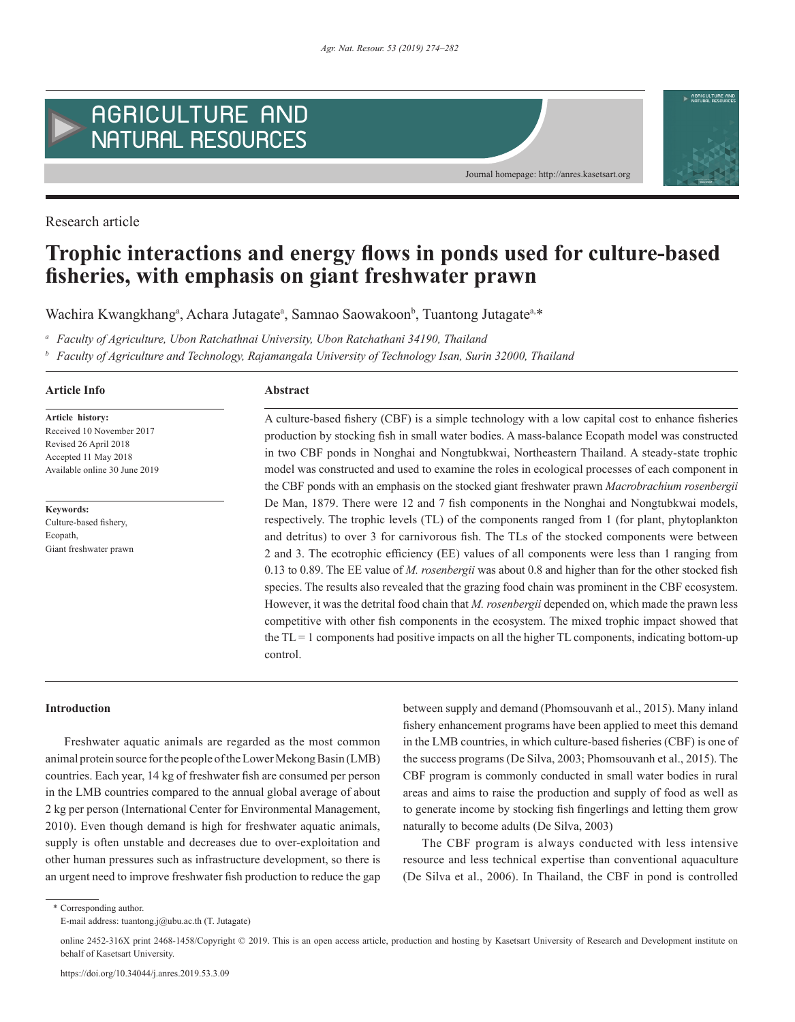

Research article

# **Trophic interactions and energy flows in ponds used for culture-based fisheries, with emphasis on giant freshwater prawn**

Wachira Kwangkhang<sup>a</sup>, Achara Jutagate<sup>a</sup>, Samnao Saowakoon<sup>b</sup>, Tuantong Jutagate<sup>a,\*</sup>

*<sup>a</sup> Faculty of Agriculture, Ubon Ratchathnai University, Ubon Ratchathani 34190, Thailand*

*<sup>b</sup> Faculty of Agriculture and Technology, Rajamangala University of Technology Isan, Surin 32000, Thailand*

#### **Article Info Abstract**

**Article history:** Received 10 November 2017 Revised 26 April 2018 Accepted 11 May 2018 Available online 30 June 2019

**Keywords:** Culture-based fishery, Ecopath Giant freshwater prawn

production by stocking fish in small water bodies. A mass-balance Ecopath model was constructed in two CBF ponds in Nonghai and Nongtubkwai, Northeastern Thailand. A steady-state trophic model was constructed and used to examine the roles in ecological processes of each component in the CBF ponds with an emphasis on the stocked giant freshwater prawn *Macrobrachium rosenbergii* De Man, 1879. There were 12 and 7 fish components in the Nonghai and Nongtubkwai models, respectively. The trophic levels (TL) of the components ranged from 1 (for plant, phytoplankton and detritus) to over 3 for carnivorous fish. The TLs of the stocked components were between 2 and 3. The ecotrophic efficiency (EE) values of all components were less than 1 ranging from 0.13 to 0.89. The EE value of *M. rosenbergii* was about 0.8 and higher than for the other stocked fish species. The results also revealed that the grazing food chain was prominent in the CBF ecosystem. However, it was the detrital food chain that *M. rosenbergii* depended on, which made the prawn less competitive with other fish components in the ecosystem. The mixed trophic impact showed that the  $TL = 1$  components had positive impacts on all the higher  $TL$  components, indicating bottom-up control.

A culture-based fishery (CBF) is a simple technology with a low capital cost to enhance fisheries

Journal homepage: http://anres.kasetsart.org

AGRICULTURE AN

# **Introduction**

Freshwater aquatic animals are regarded as the most common animal protein source for the people of the Lower Mekong Basin (LMB) countries. Each year, 14 kg of freshwater fish are consumed per person in the LMB countries compared to the annual global average of about 2 kg per person (International Center for Environmental Management, 2010). Even though demand is high for freshwater aquatic animals, supply is often unstable and decreases due to over-exploitation and other human pressures such as infrastructure development, so there is an urgent need to improve freshwater fish production to reduce the gap between supply and demand (Phomsouvanh et al., 2015). Many inland fishery enhancement programs have been applied to meet this demand in the LMB countries, in which culture-based fisheries (CBF) is one of the success programs (De Silva, 2003; Phomsouvanh et al., 2015). The CBF program is commonly conducted in small water bodies in rural areas and aims to raise the production and supply of food as well as to generate income by stocking fish fingerlings and letting them grow naturally to become adults (De Silva, 2003)

The CBF program is always conducted with less intensive resource and less technical expertise than conventional aquaculture (De Silva et al., 2006). In Thailand, the CBF in pond is controlled

\* Corresponding author.

E-mail address: tuantong.j@ubu.ac.th (T. Jutagate)

online 2452-316X print 2468-1458/Copyright © 2019. This is an open access article, production and hosting by Kasetsart University of Research and Development institute on behalf of Kasetsart University.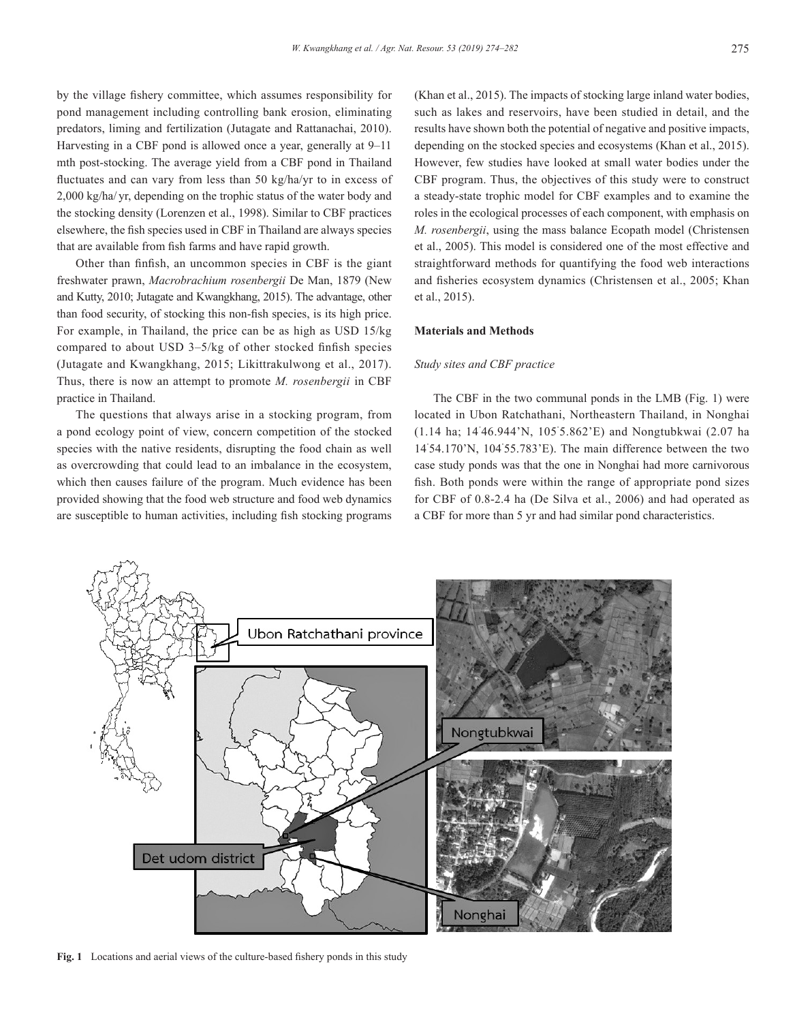by the village fishery committee, which assumes responsibility for pond management including controlling bank erosion, eliminating predators, liming and fertilization (Jutagate and Rattanachai, 2010). Harvesting in a CBF pond is allowed once a year, generally at 9–11 mth post-stocking. The average yield from a CBF pond in Thailand fluctuates and can vary from less than 50 kg/ha/yr to in excess of 2,000 kg/ha/ yr, depending on the trophic status of the water body and the stocking density (Lorenzen et al., 1998). Similar to CBF practices elsewhere, the fish species used in CBF in Thailand are always species that are available from fish farms and have rapid growth.

Other than finfish, an uncommon species in CBF is the giant freshwater prawn, *Macrobrachium rosenbergii* De Man, 1879 (New and Kutty, 2010; Jutagate and Kwangkhang, 2015). The advantage, other than food security, of stocking this non-fish species, is its high price. For example, in Thailand, the price can be as high as USD 15/kg compared to about USD 3–5/kg of other stocked finfish species (Jutagate and Kwangkhang, 2015; Likittrakulwong et al., 2017). Thus, there is now an attempt to promote *M. rosenbergii* in CBF practice in Thailand.

The questions that always arise in a stocking program, from a pond ecology point of view, concern competition of the stocked species with the native residents, disrupting the food chain as well as overcrowding that could lead to an imbalance in the ecosystem, which then causes failure of the program. Much evidence has been provided showing that the food web structure and food web dynamics are susceptible to human activities, including fish stocking programs (Khan et al., 2015). The impacts of stocking large inland water bodies, such as lakes and reservoirs, have been studied in detail, and the results have shown both the potential of negative and positive impacts, depending on the stocked species and ecosystems (Khan et al., 2015). However, few studies have looked at small water bodies under the CBF program. Thus, the objectives of this study were to construct a steady-state trophic model for CBF examples and to examine the roles in the ecological processes of each component, with emphasis on *M. rosenbergii*, using the mass balance Ecopath model (Christensen et al., 2005). This model is considered one of the most effective and straightforward methods for quantifying the food web interactions and fisheries ecosystem dynamics (Christensen et al., 2005; Khan et al., 2015).

#### **Materials and Methods**

#### *Study sites and CBF practice*

The CBF in the two communal ponds in the LMB (Fig. 1) were located in Ubon Ratchathani, Northeastern Thailand, in Nonghai (1.14 ha; 14˚ 46.944'N, 105˚ 5.862'E) and Nongtubkwai (2.07 ha 14˚ 54.170'N, 104˚ 55.783'E). The main difference between the two case study ponds was that the one in Nonghai had more carnivorous fish. Both ponds were within the range of appropriate pond sizes for CBF of 0.8-2.4 ha (De Silva et al., 2006) and had operated as a CBF for more than 5 yr and had similar pond characteristics.



**Fig. 1** Locations and aerial views of the culture-based fishery ponds in this study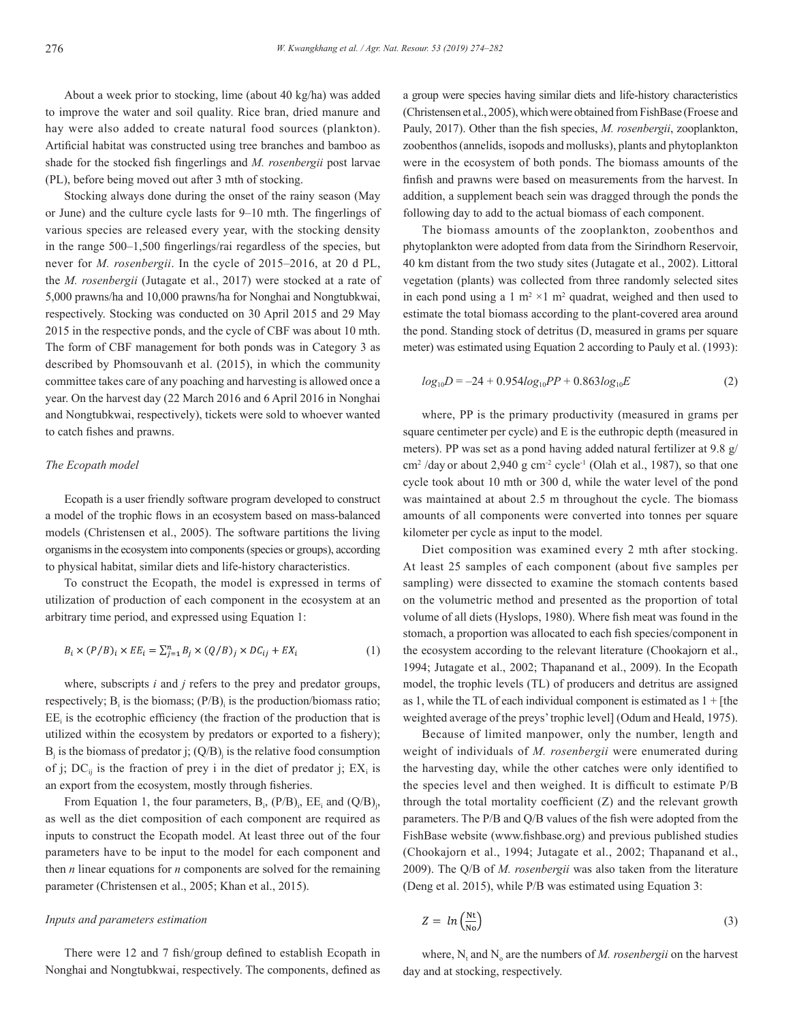About a week prior to stocking, lime (about 40 kg/ha) was added to improve the water and soil quality. Rice bran, dried manure and hay were also added to create natural food sources (plankton). Artificial habitat was constructed using tree branches and bamboo as shade for the stocked fish fingerlings and *M. rosenbergii* post larvae (PL), before being moved out after 3 mth of stocking.

Stocking always done during the onset of the rainy season (May or June) and the culture cycle lasts for 9–10 mth. The fingerlings of various species are released every year, with the stocking density in the range 500–1,500 fingerlings/rai regardless of the species, but never for *M. rosenbergii*. In the cycle of 2015–2016, at 20 d PL, the *M. rosenbergii* (Jutagate et al., 2017) were stocked at a rate of 5,000 prawns/ha and 10,000 prawns/ha for Nonghai and Nongtubkwai, respectively. Stocking was conducted on 30 April 2015 and 29 May 2015 in the respective ponds, and the cycle of CBF was about 10 mth. The form of CBF management for both ponds was in Category 3 as described by Phomsouvanh et al. (2015), in which the community committee takes care of any poaching and harvesting is allowed once a year. On the harvest day (22 March 2016 and 6 April 2016 in Nonghai and Nongtubkwai, respectively), tickets were sold to whoever wanted to catch fishes and prawns.

#### *The Ecopath model*

Ecopath is a user friendly software program developed to construct a model of the trophic flows in an ecosystem based on mass-balanced models (Christensen et al., 2005). The software partitions the living organisms in the ecosystem into components (species or groups), according to physical habitat, similar diets and life-history characteristics.

To construct the Ecopath, the model is expressed in terms of utilization of production of each component in the ecosystem at an arbitrary time period, and expressed using Equation 1:

$$
B_i \times (P/B)_i \times EE_i = \sum_{j=1}^n B_j \times (Q/B)_j \times DC_{ij} + EX_i
$$
 (1)

where, subscripts *i* and *j* refers to the prey and predator groups, respectively;  $B_i$  is the biomass;  $(P/B)_i$  is the production/biomass ratio;  $EE<sub>i</sub>$  is the ecotrophic efficiency (the fraction of the production that is utilized within the ecosystem by predators or exported to a fishery);  $B_j$  is the biomass of predator j;  $(Q/B_j)$  is the relative food consumption of j; DC<sub>ij</sub> is the fraction of prey i in the diet of predator j;  $EX_i$  is an export from the ecosystem, mostly through fisheries.

From Equation 1, the four parameters,  $B_i$ ,  $(P/B)_i$ ,  $EE_i$  and  $(Q/B)_i$ , as well as the diet composition of each component are required as inputs to construct the Ecopath model. At least three out of the four parameters have to be input to the model for each component and then *n* linear equations for *n* components are solved for the remaining parameter (Christensen et al., 2005; Khan et al., 2015).

# *Inputs and parameters estimation*

There were 12 and 7 fish/group defined to establish Ecopath in Nonghai and Nongtubkwai, respectively. The components, defined as a group were species having similar diets and life-history characteristics (Christensen et al., 2005), which were obtained from FishBase (Froese and Pauly, 2017). Other than the fish species, *M. rosenbergii*, zooplankton, zoobenthos (annelids, isopods and mollusks), plants and phytoplankton were in the ecosystem of both ponds. The biomass amounts of the finfish and prawns were based on measurements from the harvest. In addition, a supplement beach sein was dragged through the ponds the following day to add to the actual biomass of each component.

The biomass amounts of the zooplankton, zoobenthos and phytoplankton were adopted from data from the Sirindhorn Reservoir, 40 km distant from the two study sites (Jutagate et al., 2002). Littoral vegetation (plants) was collected from three randomly selected sites in each pond using a 1  $m^2 \times 1$  m<sup>2</sup> quadrat, weighed and then used to estimate the total biomass according to the plant-covered area around the pond. Standing stock of detritus (D, measured in grams per square meter) was estimated using Equation 2 according to Pauly et al. (1993):

$$
log_{10}D = -24 + 0.954log_{10}PP + 0.863log_{10}E
$$
 (2)

where, PP is the primary productivity (measured in grams per square centimeter per cycle) and E is the euthropic depth (measured in meters). PP was set as a pond having added natural fertilizer at 9.8 g/  $\text{cm}^2$  /day or about 2,940 g  $\text{cm}^2$  cycle<sup>-1</sup> (Olah et al., 1987), so that one cycle took about 10 mth or 300 d, while the water level of the pond was maintained at about 2.5 m throughout the cycle. The biomass amounts of all components were converted into tonnes per square kilometer per cycle as input to the model.

Diet composition was examined every 2 mth after stocking. At least 25 samples of each component (about five samples per sampling) were dissected to examine the stomach contents based on the volumetric method and presented as the proportion of total volume of all diets (Hyslops, 1980). Where fish meat was found in the stomach, a proportion was allocated to each fish species/component in the ecosystem according to the relevant literature (Chookajorn et al., 1994; Jutagate et al., 2002; Thapanand et al., 2009). In the Ecopath model, the trophic levels (TL) of producers and detritus are assigned as 1, while the TL of each individual component is estimated as  $1 +$  [the weighted average of the preys' trophic level] (Odum and Heald, 1975).

Because of limited manpower, only the number, length and weight of individuals of *M. rosenbergii* were enumerated during the harvesting day, while the other catches were only identified to the species level and then weighed. It is difficult to estimate P/B through the total mortality coefficient (Z) and the relevant growth parameters. The P/B and Q/B values of the fish were adopted from the FishBase website (www.fishbase.org) and previous published studies (Chookajorn et al., 1994; Jutagate et al., 2002; Thapanand et al., 2009). The Q/B of *M. rosenbergii* was also taken from the literature (Deng et al. 2015), while P/B was estimated using Equation 3:

$$
Z = \ln\left(\frac{Nt}{N\sigma}\right) \tag{3}
$$

where,  $N_t$  and  $N_o$  are the numbers of *M. rosenbergii* on the harvest day and at stocking, respectively.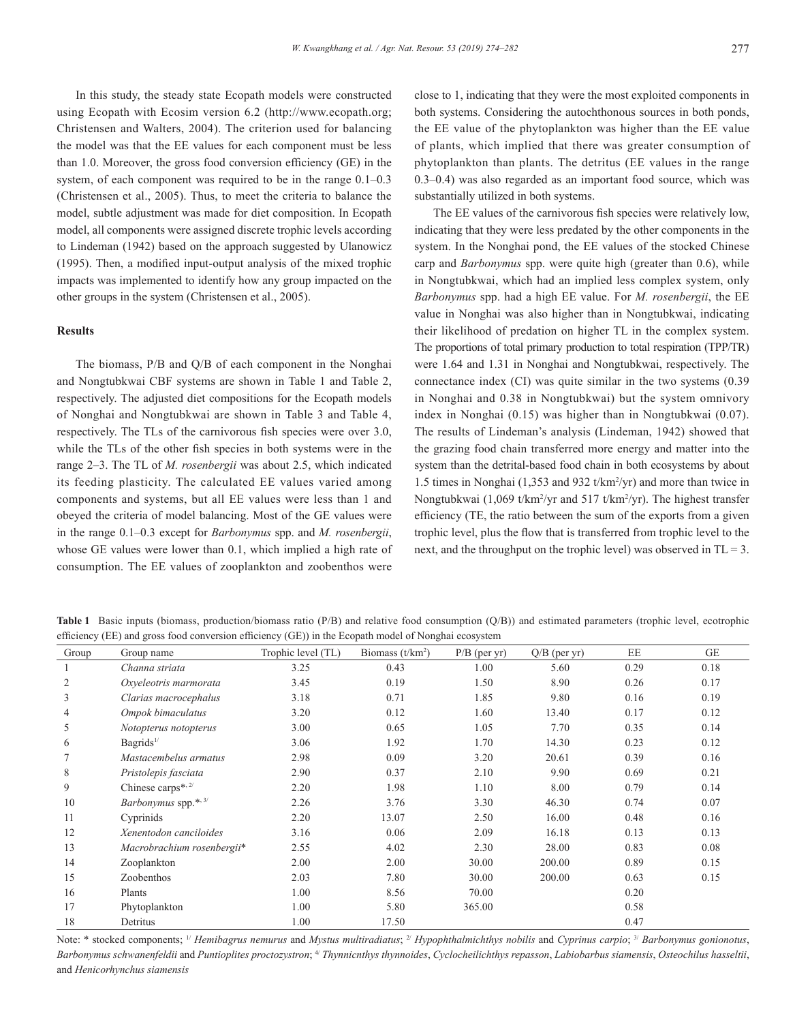In this study, the steady state Ecopath models were constructed using Ecopath with Ecosim version 6.2 (http://www.ecopath.org; Christensen and Walters, 2004). The criterion used for balancing the model was that the EE values for each component must be less than 1.0. Moreover, the gross food conversion efficiency (GE) in the system, of each component was required to be in the range 0.1–0.3 (Christensen et al., 2005). Thus, to meet the criteria to balance the model, subtle adjustment was made for diet composition. In Ecopath model, all components were assigned discrete trophic levels according to Lindeman (1942) based on the approach suggested by Ulanowicz (1995). Then, a modified input-output analysis of the mixed trophic impacts was implemented to identify how any group impacted on the other groups in the system (Christensen et al., 2005).

## **Results**

The biomass, P/B and Q/B of each component in the Nonghai and Nongtubkwai CBF systems are shown in Table 1 and Table 2, respectively. The adjusted diet compositions for the Ecopath models of Nonghai and Nongtubkwai are shown in Table 3 and Table 4, respectively. The TLs of the carnivorous fish species were over 3.0, while the TLs of the other fish species in both systems were in the range 2–3. The TL of *M. rosenbergii* was about 2.5, which indicated its feeding plasticity. The calculated EE values varied among components and systems, but all EE values were less than 1 and obeyed the criteria of model balancing. Most of the GE values were in the range 0.1–0.3 except for *Barbonymus* spp. and *M. rosenbergii*, whose GE values were lower than 0.1, which implied a high rate of consumption. The EE values of zooplankton and zoobenthos were close to 1, indicating that they were the most exploited components in both systems. Considering the autochthonous sources in both ponds, the EE value of the phytoplankton was higher than the EE value of plants, which implied that there was greater consumption of phytoplankton than plants. The detritus (EE values in the range 0.3–0.4) was also regarded as an important food source, which was substantially utilized in both systems.

The EE values of the carnivorous fish species were relatively low, indicating that they were less predated by the other components in the system. In the Nonghai pond, the EE values of the stocked Chinese carp and *Barbonymus* spp. were quite high (greater than 0.6), while in Nongtubkwai, which had an implied less complex system, only *Barbonymus* spp. had a high EE value. For *M. rosenbergii*, the EE value in Nonghai was also higher than in Nongtubkwai, indicating their likelihood of predation on higher TL in the complex system. The proportions of total primary production to total respiration (TPP/TR) were 1.64 and 1.31 in Nonghai and Nongtubkwai, respectively. The connectance index (CI) was quite similar in the two systems (0.39 in Nonghai and 0.38 in Nongtubkwai) but the system omnivory index in Nonghai (0.15) was higher than in Nongtubkwai (0.07). The results of Lindeman's analysis (Lindeman, 1942) showed that the grazing food chain transferred more energy and matter into the system than the detrital-based food chain in both ecosystems by about 1.5 times in Nonghai (1,353 and 932 t/km<sup>2</sup> /yr) and more than twice in Nongtubkwai (1,069 t/km<sup>2</sup>/yr and 517 t/km<sup>2</sup>/yr). The highest transfer efficiency (TE, the ratio between the sum of the exports from a given trophic level, plus the flow that is transferred from trophic level to the next, and the throughput on the trophic level) was observed in  $TL = 3$ .

**Table 1** Basic inputs (biomass, production/biomass ratio (P/B) and relative food consumption (Q/B)) and estimated parameters (trophic level, ecotrophic efficiency (EE) and gross food conversion efficiency (GE)) in the Ecopath model of Nonghai ecosystem

| Group  | Group name                    | Trophic level (TL) | Biomass $(t/km2)$ | $P/B$ (per yr) | $Q/B$ (per yr) | EE   | <b>GE</b> |
|--------|-------------------------------|--------------------|-------------------|----------------|----------------|------|-----------|
| 1      | Channa striata                | 3.25               | 0.43              | 1.00           | 5.60           | 0.29 | 0.18      |
| 2      | Oxyeleotris marmorata         | 3.45               | 0.19              | 1.50           | 8.90           | 0.26 | 0.17      |
| 3      | Clarias macrocephalus         | 3.18               | 0.71              | 1.85           | 9.80           | 0.16 | 0.19      |
| 4      | Ompok bimaculatus             | 3.20               | 0.12              | 1.60           | 13.40          | 0.17 | 0.12      |
| 5      | Notopterus notopterus         | 3.00               | 0.65              | 1.05           | 7.70           | 0.35 | 0.14      |
| 6      | Bagrids <sup>1/</sup>         | 3.06               | 1.92              | 1.70           | 14.30          | 0.23 | 0.12      |
| $\tau$ | Mastacembelus armatus         | 2.98               | 0.09              | 3.20           | 20.61          | 0.39 | 0.16      |
| 8      | Pristolepis fasciata          | 2.90               | 0.37              | 2.10           | 9.90           | 0.69 | 0.21      |
| 9      | Chinese carps*, 2/            | 2.20               | 1.98              | 1.10           | 8.00           | 0.79 | 0.14      |
| 10     | <i>Barbonymus</i> spp.*, $3/$ | 2.26               | 3.76              | 3.30           | 46.30          | 0.74 | 0.07      |
| 11     | Cyprinids                     | 2.20               | 13.07             | 2.50           | 16.00          | 0.48 | 0.16      |
| 12     | Xenentodon canciloides        | 3.16               | 0.06              | 2.09           | 16.18          | 0.13 | 0.13      |
| 13     | Macrobrachium rosenbergii*    | 2.55               | 4.02              | 2.30           | 28.00          | 0.83 | 0.08      |
| 14     | Zooplankton                   | 2.00               | 2.00              | 30.00          | 200.00         | 0.89 | 0.15      |
| 15     | Zoobenthos                    | 2.03               | 7.80              | 30.00          | 200.00         | 0.63 | 0.15      |
| 16     | Plants                        | 1.00               | 8.56              | 70.00          |                | 0.20 |           |
| 17     | Phytoplankton                 | 1.00               | 5.80              | 365.00         |                | 0.58 |           |
| 18     | Detritus                      | 1.00               | 17.50             |                |                | 0.47 |           |

Note: \* stocked components; <sup>1/</sup> *Hemibagrus nemurus* and *Mystus multiradiatus*; <sup>2/</sup> *Hypophthalmichthys nobilis* and *Cyprinus carpio*; <sup>3/</sup> *Barbonymus gonionotus*, *Barbonymus schwanenfeldii* and *Puntioplites proctozystron*; 4/ *Thynnicnthys thynnoides*, *Cyclocheilichthys repasson*, *Labiobarbus siamensis*, *Osteochilus hasseltii*, and *Henicorhynchus siamensis*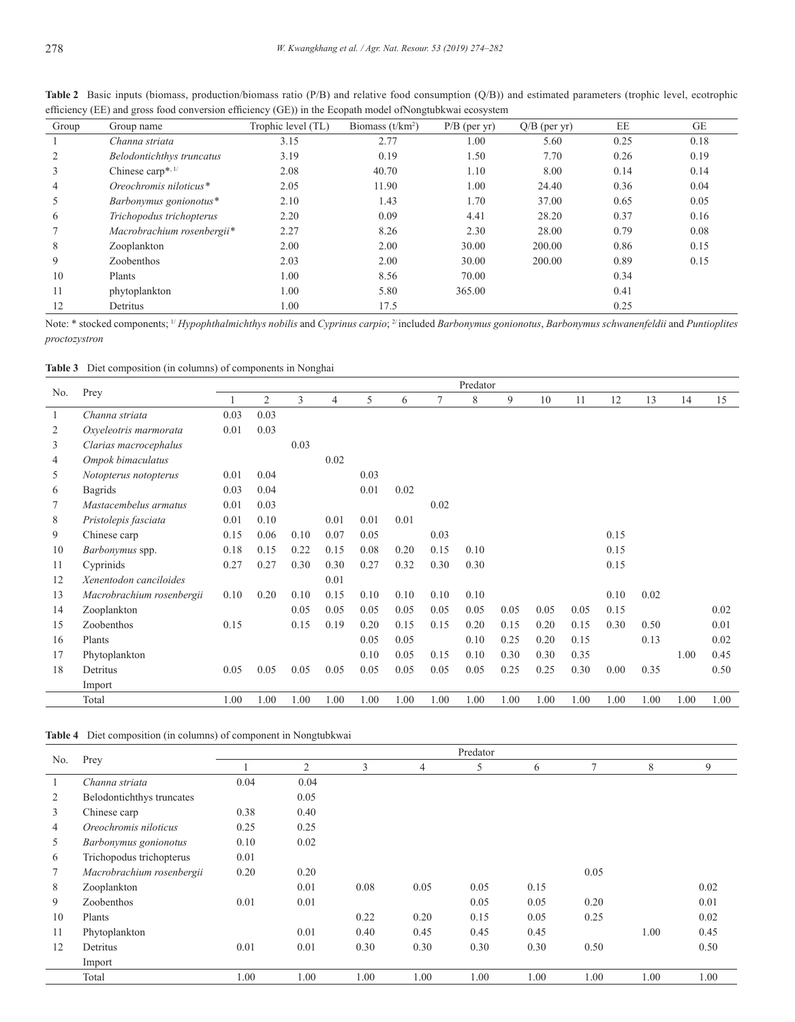| Group | Group name                       | Trophic level (TL) | Biomass $(t/km2)$ | $P/B$ (per yr) | $Q/B$ (per yr) | EE   | GE   |
|-------|----------------------------------|--------------------|-------------------|----------------|----------------|------|------|
|       | Channa striata                   | 3.15               | 2.77              | 1.00           | 5.60           | 0.25 | 0.18 |
|       | <b>Belodontichthys truncatus</b> | 3.19               | 0.19              | 1.50           | 7.70           | 0.26 | 0.19 |
|       | Chinese carp*, $1/$              | 2.08               | 40.70             | 1.10           | 8.00           | 0.14 | 0.14 |
| 4     | Oreochromis niloticus*           | 2.05               | 11.90             | 1.00           | 24.40          | 0.36 | 0.04 |
| 5     | Barbonymus gonionotus*           | 2.10               | 1.43              | 1.70           | 37.00          | 0.65 | 0.05 |
| 6     | Trichopodus trichopterus         | 2.20               | 0.09              | 4.41           | 28.20          | 0.37 | 0.16 |
|       | Macrobrachium rosenbergii*       | 2.27               | 8.26              | 2.30           | 28.00          | 0.79 | 0.08 |
| 8     | Zooplankton                      | 2.00               | 2.00              | 30.00          | 200.00         | 0.86 | 0.15 |
| 9     | Zoobenthos                       | 2.03               | 2.00              | 30.00          | 200.00         | 0.89 | 0.15 |
| 10    | Plants                           | 1.00               | 8.56              | 70.00          |                | 0.34 |      |
| 11    | phytoplankton                    | 1.00               | 5.80              | 365.00         |                | 0.41 |      |
| 12    | Detritus                         | 1.00               | 17.5              |                |                | 0.25 |      |

**Table 2** Basic inputs (biomass, production/biomass ratio (P/B) and relative food consumption (Q/B)) and estimated parameters (trophic level, ecotrophic efficiency (EE) and gross food conversion efficiency (GE)) in the Ecopath model ofNongtubkwai ecosystem

Note: \* stocked components; 1/ *Hypophthalmichthys nobilis* and *Cyprinus carpio*; 2/ included *Barbonymus gonionotus*, *Barbonymus schwanenfeldii* and *Puntioplites proctozystron*

**Table 3** Diet composition (in columns) of components in Nonghai

|     | Prey                      | Predator |                |      |                |      |      |      |      |      |      |      |      |      |      |      |
|-----|---------------------------|----------|----------------|------|----------------|------|------|------|------|------|------|------|------|------|------|------|
| No. |                           |          | $\overline{2}$ | 3    | $\overline{4}$ | 5    | 6    | 7    | 8    | 9    | 10   | 11   | 12   | 13   | 14   | 15   |
| 1   | Channa striata            | 0.03     | 0.03           |      |                |      |      |      |      |      |      |      |      |      |      |      |
| 2   | Oxyeleotris marmorata     | 0.01     | 0.03           |      |                |      |      |      |      |      |      |      |      |      |      |      |
| 3   | Clarias macrocephalus     |          |                | 0.03 |                |      |      |      |      |      |      |      |      |      |      |      |
| 4   | Ompok bimaculatus         |          |                |      | 0.02           |      |      |      |      |      |      |      |      |      |      |      |
| 5   | Notopterus notopterus     | 0.01     | 0.04           |      |                | 0.03 |      |      |      |      |      |      |      |      |      |      |
| 6   | <b>Bagrids</b>            | 0.03     | 0.04           |      |                | 0.01 | 0.02 |      |      |      |      |      |      |      |      |      |
| 7   | Mastacembelus armatus     | 0.01     | 0.03           |      |                |      |      | 0.02 |      |      |      |      |      |      |      |      |
| 8   | Pristolepis fasciata      | 0.01     | 0.10           |      | 0.01           | 0.01 | 0.01 |      |      |      |      |      |      |      |      |      |
| 9   | Chinese carp              | 0.15     | 0.06           | 0.10 | 0.07           | 0.05 |      | 0.03 |      |      |      |      | 0.15 |      |      |      |
| 10  | Barbonymus spp.           | 0.18     | 0.15           | 0.22 | 0.15           | 0.08 | 0.20 | 0.15 | 0.10 |      |      |      | 0.15 |      |      |      |
| 11  | Cyprinids                 | 0.27     | 0.27           | 0.30 | 0.30           | 0.27 | 0.32 | 0.30 | 0.30 |      |      |      | 0.15 |      |      |      |
| 12  | Xenentodon canciloides    |          |                |      | 0.01           |      |      |      |      |      |      |      |      |      |      |      |
| 13  | Macrobrachium rosenbergii | 0.10     | 0.20           | 0.10 | 0.15           | 0.10 | 0.10 | 0.10 | 0.10 |      |      |      | 0.10 | 0.02 |      |      |
| 14  | Zooplankton               |          |                | 0.05 | 0.05           | 0.05 | 0.05 | 0.05 | 0.05 | 0.05 | 0.05 | 0.05 | 0.15 |      |      | 0.02 |
| 15  | Zoobenthos                | 0.15     |                | 0.15 | 0.19           | 0.20 | 0.15 | 0.15 | 0.20 | 0.15 | 0.20 | 0.15 | 0.30 | 0.50 |      | 0.01 |
| 16  | Plants                    |          |                |      |                | 0.05 | 0.05 |      | 0.10 | 0.25 | 0.20 | 0.15 |      | 0.13 |      | 0.02 |
| 17  | Phytoplankton             |          |                |      |                | 0.10 | 0.05 | 0.15 | 0.10 | 0.30 | 0.30 | 0.35 |      |      | 1.00 | 0.45 |
| 18  | Detritus                  | 0.05     | 0.05           | 0.05 | 0.05           | 0.05 | 0.05 | 0.05 | 0.05 | 0.25 | 0.25 | 0.30 | 0.00 | 0.35 |      | 0.50 |
|     | Import                    |          |                |      |                |      |      |      |      |      |      |      |      |      |      |      |
|     | Total                     | 1.00     | 1.00           | 1.00 | 1.00           | 1.00 | 1.00 | 1.00 | 1.00 | 1.00 | 1.00 | 1.00 | 1.00 | 1.00 | 1.00 | 1.00 |

|  |  |  | <b>Table 4</b> Diet composition (in columns) of component in Nongtubkwai |
|--|--|--|--------------------------------------------------------------------------|
|  |  |  |                                                                          |

| No. | Prey                      | Predator |                |      |      |      |      |      |      |      |  |  |
|-----|---------------------------|----------|----------------|------|------|------|------|------|------|------|--|--|
|     |                           |          | $\overline{2}$ | 3    | 4    | 5    | 6    | 7    | 8    | 9    |  |  |
|     | Channa striata            | 0.04     | 0.04           |      |      |      |      |      |      |      |  |  |
| 2   | Belodontichthys truncates |          | 0.05           |      |      |      |      |      |      |      |  |  |
| 3   | Chinese carp              | 0.38     | 0.40           |      |      |      |      |      |      |      |  |  |
| 4   | Oreochromis niloticus     | 0.25     | 0.25           |      |      |      |      |      |      |      |  |  |
| 5   | Barbonymus gonionotus     | 0.10     | 0.02           |      |      |      |      |      |      |      |  |  |
| 6   | Trichopodus trichopterus  | 0.01     |                |      |      |      |      |      |      |      |  |  |
|     | Macrobrachium rosenbergii | 0.20     | 0.20           |      |      |      |      | 0.05 |      |      |  |  |
| 8   | Zooplankton               |          | 0.01           | 0.08 | 0.05 | 0.05 | 0.15 |      |      | 0.02 |  |  |
| 9   | Zoobenthos                | 0.01     | 0.01           |      |      | 0.05 | 0.05 | 0.20 |      | 0.01 |  |  |
| 10  | Plants                    |          |                | 0.22 | 0.20 | 0.15 | 0.05 | 0.25 |      | 0.02 |  |  |
| 11  | Phytoplankton             |          | 0.01           | 0.40 | 0.45 | 0.45 | 0.45 |      | 1.00 | 0.45 |  |  |
| 12  | Detritus                  | 0.01     | 0.01           | 0.30 | 0.30 | 0.30 | 0.30 | 0.50 |      | 0.50 |  |  |
|     | Import                    |          |                |      |      |      |      |      |      |      |  |  |
|     | Total                     | 1.00     | 1.00           | 1.00 | 1.00 | 1.00 | 1.00 | 1.00 | 1.00 | 1.00 |  |  |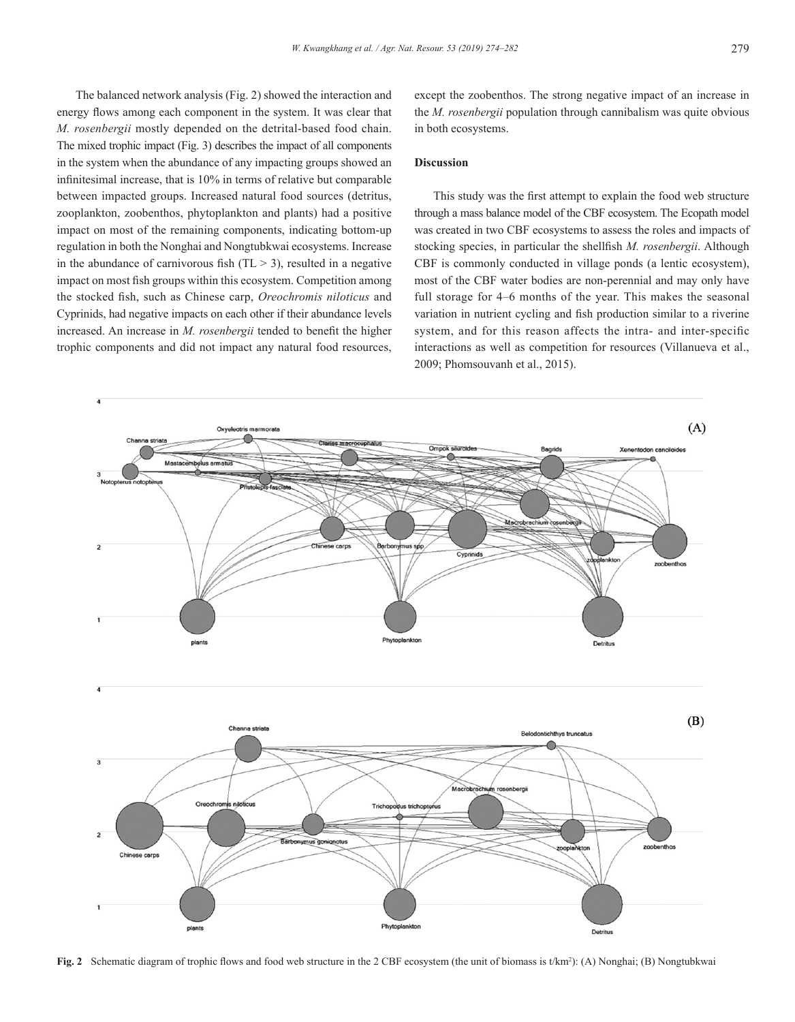The balanced network analysis (Fig. 2) showed the interaction and energy flows among each component in the system. It was clear that *M. rosenbergii* mostly depended on the detrital-based food chain. The mixed trophic impact (Fig. 3) describes the impact of all components in the system when the abundance of any impacting groups showed an infinitesimal increase, that is 10% in terms of relative but comparable between impacted groups. Increased natural food sources (detritus, zooplankton, zoobenthos, phytoplankton and plants) had a positive impact on most of the remaining components, indicating bottom-up regulation in both the Nonghai and Nongtubkwai ecosystems. Increase in the abundance of carnivorous fish  $(TL > 3)$ , resulted in a negative impact on most fish groups within this ecosystem. Competition among the stocked fish, such as Chinese carp, *Oreochromis niloticus* and Cyprinids, had negative impacts on each other if their abundance levels increased. An increase in *M. rosenbergii* tended to benefit the higher trophic components and did not impact any natural food resources,

except the zoobenthos. The strong negative impact of an increase in the *M. rosenbergii* population through cannibalism was quite obvious in both ecosystems.

# **Discussion**

This study was the first attempt to explain the food web structure through a mass balance model of the CBF ecosystem. The Ecopath model was created in two CBF ecosystems to assess the roles and impacts of stocking species, in particular the shellfish *M. rosenbergii*. Although CBF is commonly conducted in village ponds (a lentic ecosystem), most of the CBF water bodies are non-perennial and may only have full storage for 4–6 months of the year. This makes the seasonal variation in nutrient cycling and fish production similar to a riverine system, and for this reason affects the intra- and inter-specific interactions as well as competition for resources (Villanueva et al., 2009; Phomsouvanh et al., 2015).



Fig. 2 Schematic diagram of trophic flows and food web structure in the 2 CBF ecosystem (the unit of biomass is t/km<sup>2</sup>): (A) Nonghai; (B) Nongtubkwai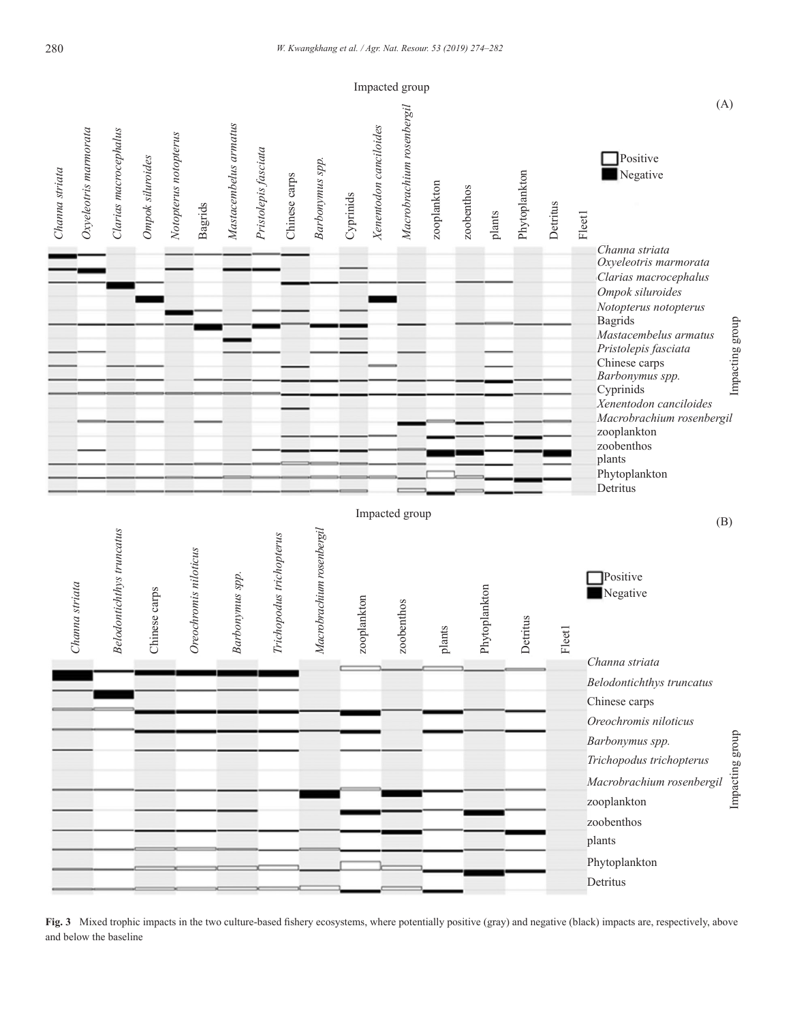

**Fig. 3** Mixed trophic impacts in the two culture-based fishery ecosystems, where potentially positive (gray) and negative (black) impacts are, respectively, above and below the baseline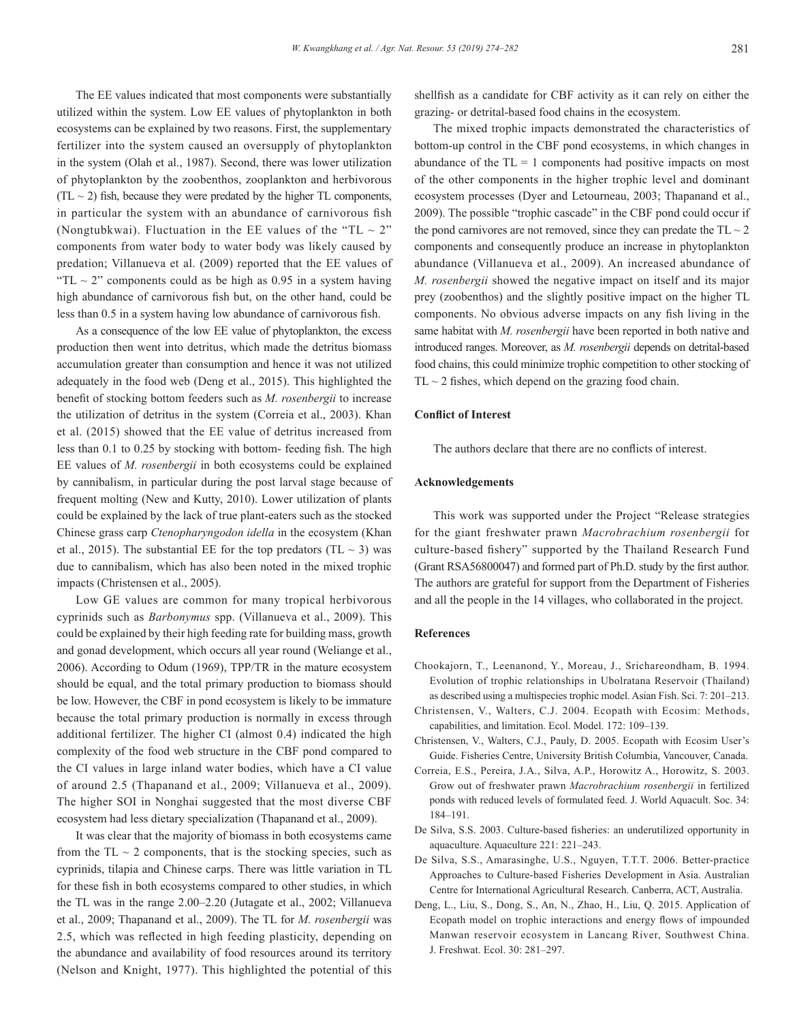The EE values indicated that most components were substantially utilized within the system. Low EE values of phytoplankton in both ecosystems can be explained by two reasons. First, the supplementary fertilizer into the system caused an oversupply of phytoplankton in the system (Olah et al., 1987). Second, there was lower utilization of phytoplankton by the zoobenthos, zooplankton and herbivorous  $(T<sub>L</sub> \sim 2)$  fish, because they were predated by the higher TL components, in particular the system with an abundance of carnivorous fish (Nongtubkwai). Fluctuation in the EE values of the "TL  $\sim 2$ " components from water body to water body was likely caused by predation; Villanueva et al. (2009) reported that the EE values of "TL  $\sim$  2" components could as be high as 0.95 in a system having high abundance of carnivorous fish but, on the other hand, could be less than 0.5 in a system having low abundance of carnivorous fish.

As a consequence of the low EE value of phytoplankton, the excess production then went into detritus, which made the detritus biomass accumulation greater than consumption and hence it was not utilized adequately in the food web (Deng et al., 2015). This highlighted the benefit of stocking bottom feeders such as *M. rosenbergii* to increase the utilization of detritus in the system (Correia et al., 2003). Khan et al. (2015) showed that the EE value of detritus increased from less than 0.1 to 0.25 by stocking with bottom- feeding fish. The high EE values of *M. rosenbergii* in both ecosystems could be explained by cannibalism, in particular during the post larval stage because of frequent molting (New and Kutty, 2010). Lower utilization of plants could be explained by the lack of true plant-eaters such as the stocked Chinese grass carp *Ctenopharyngodon idella* in the ecosystem (Khan et al., 2015). The substantial EE for the top predators (TL  $\sim$  3) was due to cannibalism, which has also been noted in the mixed trophic impacts (Christensen et al., 2005).

Low GE values are common for many tropical herbivorous cyprinids such as *Barbonymus* spp. (Villanueva et al., 2009). This could be explained by their high feeding rate for building mass, growth and gonad development, which occurs all year round (Weliange et al., 2006). According to Odum (1969), TPP/TR in the mature ecosystem should be equal, and the total primary production to biomass should be low. However, the CBF in pond ecosystem is likely to be immature because the total primary production is normally in excess through additional fertilizer. The higher CI (almost 0.4) indicated the high complexity of the food web structure in the CBF pond compared to the CI values in large inland water bodies, which have a CI value of around 2.5 (Thapanand et al., 2009; Villanueva et al., 2009). The higher SOI in Nonghai suggested that the most diverse CBF ecosystem had less dietary specialization (Thapanand et al., 2009).

It was clear that the majority of biomass in both ecosystems came from the  $TL \sim 2$  components, that is the stocking species, such as cyprinids, tilapia and Chinese carps. There was little variation in TL for these fish in both ecosystems compared to other studies, in which the TL was in the range 2.00–2.20 (Jutagate et al., 2002; Villanueva et al., 2009; Thapanand et al., 2009). The TL for *M. rosenbergii* was 2.5, which was reflected in high feeding plasticity, depending on the abundance and availability of food resources around its territory (Nelson and Knight, 1977). This highlighted the potential of this shellfish as a candidate for CBF activity as it can rely on either the grazing- or detrital-based food chains in the ecosystem.

The mixed trophic impacts demonstrated the characteristics of bottom-up control in the CBF pond ecosystems, in which changes in abundance of the  $TL = 1$  components had positive impacts on most of the other components in the higher trophic level and dominant ecosystem processes (Dyer and Letourneau, 2003; Thapanand et al., 2009). The possible "trophic cascade" in the CBF pond could occur if the pond carnivores are not removed, since they can predate the  $TL \sim 2$ components and consequently produce an increase in phytoplankton abundance (Villanueva et al., 2009). An increased abundance of *M. rosenbergii* showed the negative impact on itself and its major prey (zoobenthos) and the slightly positive impact on the higher TL components. No obvious adverse impacts on any fish living in the same habitat with *M. rosenbergii* have been reported in both native and introduced ranges. Moreover, as *M. rosenbergii* depends on detrital-based food chains, this could minimize trophic competition to other stocking of  $TL \sim 2$  fishes, which depend on the grazing food chain.

#### **Conflict of Interest**

The authors declare that there are no conflicts of interest.

# **Acknowledgements**

This work was supported under the Project "Release strategies for the giant freshwater prawn *Macrobrachium rosenbergii* for culture-based fishery" supported by the Thailand Research Fund (Grant RSA56800047) and formed part of Ph.D. study by the first author. The authors are grateful for support from the Department of Fisheries and all the people in the 14 villages, who collaborated in the project.

#### **References**

- Chookajorn, T., Leenanond, Y., Moreau, J., Srichareondham, B. 1994. Evolution of trophic relationships in Ubolratana Reservoir (Thailand) as described using a multispecies trophic model. Asian Fish. Sci. 7: 201–213.
- Christensen, V., Walters, C.J. 2004. Ecopath with Ecosim: Methods, capabilities, and limitation. Ecol. Model. 172: 109–139.
- Christensen, V., Walters, C.J., Pauly, D. 2005. Ecopath with Ecosim User's Guide. Fisheries Centre, University British Columbia, Vancouver, Canada.
- Correia, E.S., Pereira, J.A., Silva, A.P., Horowitz A., Horowitz, S. 2003. Grow out of freshwater prawn *Macrobrachium rosenbergii* in fertilized ponds with reduced levels of formulated feed. J. World Aquacult. Soc. 34: 184–191.
- De Silva, S.S. 2003. Culture-based fisheries: an underutilized opportunity in aquaculture. Aquaculture 221: 221–243.
- De Silva, S.S., Amarasinghe, U.S., Nguyen, T.T.T. 2006. Better-practice Approaches to Culture-based Fisheries Development in Asia. Australian Centre for International Agricultural Research. Canberra, ACT, Australia.
- Deng, L., Liu, S., Dong, S., An, N., Zhao, H., Liu, Q. 2015. Application of Ecopath model on trophic interactions and energy flows of impounded Manwan reservoir ecosystem in Lancang River, Southwest China. J. Freshwat. Ecol. 30: 281–297.